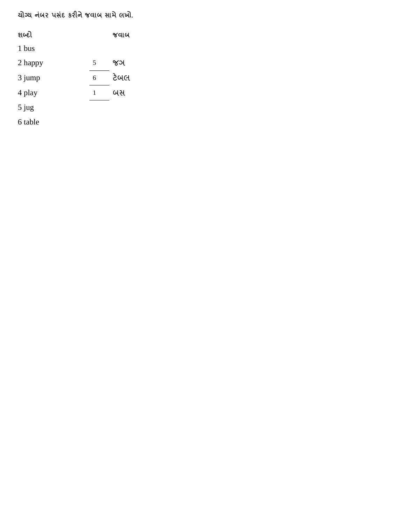**યોગ્ય નંબ પંસ કર નજવાબ સામે લખો.**

| શબ્દો   |   | જવાબ |
|---------|---|------|
| 1 bus   |   |      |
| 2 happy | 5 | જઞ   |
| 3 jump  | 6 | ટેબલ |
| 4 play  | 1 | બસ   |
| $5$ jug |   |      |
| 6 table |   |      |